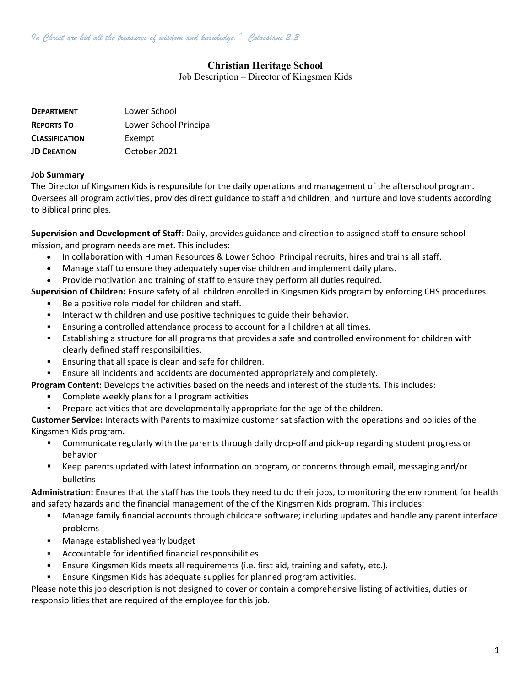# Christian Heritage School

Job Description – Director of Kingsmen Kids

| <b>DEPARTMENT</b>     | Lower School           |
|-----------------------|------------------------|
| <b>REPORTS TO</b>     | Lower School Principal |
| <b>CLASSIFICATION</b> | Exempt                 |
| <b>JD CREATION</b>    | October 2021           |

#### Job Summary

The Director of Kingsmen Kids is responsible for the daily operations and management of the afterschool program. Oversees all program activities, provides direct guidance to staff and children, and nurture and love students according to Biblical principles.

Supervision and Development of Staff: Daily, provides guidance and direction to assigned staff to ensure school mission, and program needs are met. This includes:

- In collaboration with Human Resources & Lower School Principal recruits, hires and trains all staff.
- Manage staff to ensure they adequately supervise children and implement daily plans.
- Provide motivation and training of staff to ensure they perform all duties required.

Supervision of Children: Ensure safety of all children enrolled in Kingsmen Kids program by enforcing CHS procedures.

- Be a positive role model for children and staff.
- Interact with children and use positive techniques to guide their behavior.
- Ensuring a controlled attendance process to account for all children at all times.
- Establishing a structure for all programs that provides a safe and controlled environment for children with clearly defined staff responsibilities.
- Ensuring that all space is clean and safe for children.
- Ensure all incidents and accidents are documented appropriately and completely.
- Program Content: Develops the activities based on the needs and interest of the students. This includes:
	- Complete weekly plans for all program activities
	- Prepare activities that are developmentally appropriate for the age of the children.

Customer Service: Interacts with Parents to maximize customer satisfaction with the operations and policies of the Kingsmen Kids program.

- Communicate regularly with the parents through daily drop-off and pick-up regarding student progress or behavior
- Keep parents updated with latest information on program, or concerns through email, messaging and/or bulletins

Administration: Ensures that the staff has the tools they need to do their jobs, to monitoring the environment for health and safety hazards and the financial management of the of the Kingsmen Kids program. This includes:

- Manage family financial accounts through childcare software; including updates and handle any parent interface problems
- Manage established yearly budget
- Accountable for identified financial responsibilities.
- Ensure Kingsmen Kids meets all requirements (i.e. first aid, training and safety, etc.).
- Ensure Kingsmen Kids has adequate supplies for planned program activities.

Please note this job description is not designed to cover or contain a comprehensive listing of activities, duties or responsibilities that are required of the employee for this job.